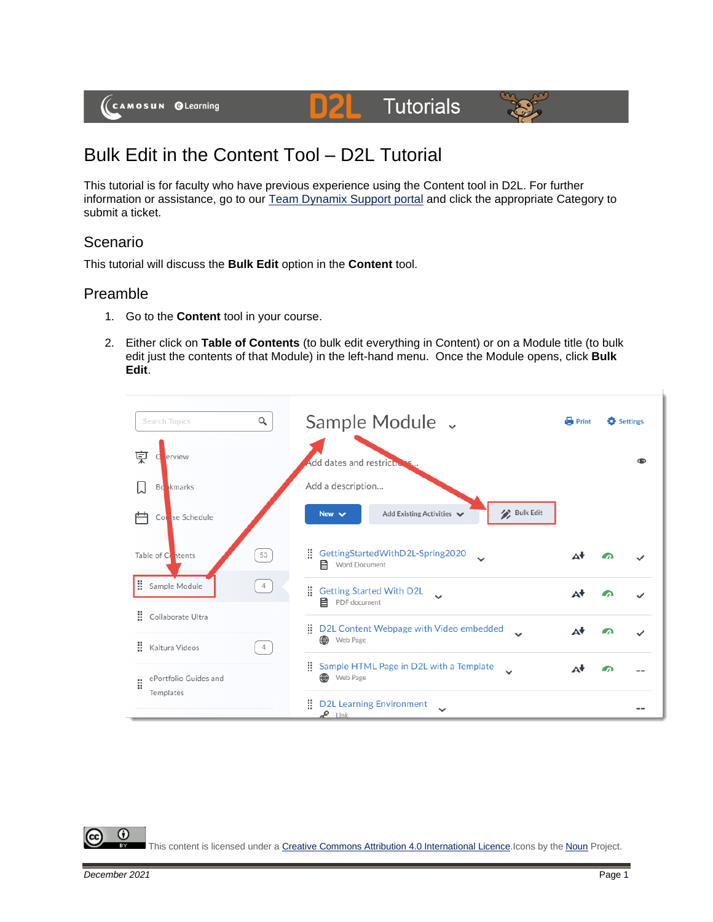# **Tutorials**



## Bulk Edit in the Content Tool – D2L Tutorial

This tutorial is for faculty who have previous experience using the Content tool in D2L. For further information or assistance, go to our [Team Dynamix Support portal](https://camosun.teamdynamix.com/TDClient/67/Portal/Requests/ServiceCatalog?CategoryID=523) and click the appropriate Category to submit a ticket.

D**21** 

### Scenario

This tutorial will discuss the **Bulk Edit** option in the **Content** tool.

#### Preamble

- 1. Go to the **Content** tool in your course.
- 2. Either click on **Table of Contents** (to bulk edit everything in Content) or on a Module title (to bulk edit just the contents of that Module) in the left-hand menu. Once the Module opens, click **Bulk Edit**.



This content is licensed under [a Creative Commons Attribution 4.0 International Licence.I](https://creativecommons.org/licenses/by/4.0/)cons by the [Noun](https://creativecommons.org/website-icons/) Project.

0